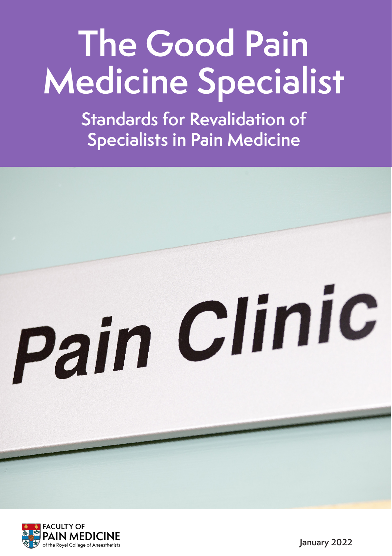# **The Good Pain Medicine Specialist**

**Standards for Revalidation of Specialists in Pain Medicine**

# Pain Clinic

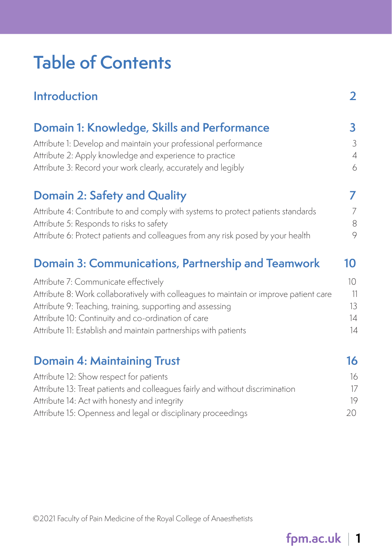# **Table of Contents**

| <b>Introduction</b>                                                                   | $\overline{2}$ |
|---------------------------------------------------------------------------------------|----------------|
| Domain 1: Knowledge, Skills and Performance                                           | 3              |
| Attribute 1: Develop and maintain your professional performance                       | 3              |
| Attribute 2: Apply knowledge and experience to practice                               | $\overline{4}$ |
| Attribute 3: Record your work clearly, accurately and legibly                         | 6              |
| <b>Domain 2: Safety and Quality</b>                                                   | 7              |
| Attribute 4: Contribute to and comply with systems to protect patients standards      | 7              |
| Attribute 5: Responds to risks to safety                                              | 8              |
| Attribute 6: Protect patients and colleagues from any risk posed by your health       | 9              |
| Domain 3: Communications, Partnership and Teamwork                                    | 10             |
| Attribute 7: Communicate effectively                                                  | 10             |
| Attribute 8: Work collaboratively with colleagues to maintain or improve patient care | 11             |
| Attribute 9: Teaching, training, supporting and assessing                             | 13             |
| Attribute 10: Continuity and co-ordination of care                                    | 14             |
| Attribute 11: Establish and maintain partnerships with patients                       | 14             |
| <b>Domain 4: Maintaining Trust</b>                                                    | 16             |
| Attribute 12: Show respect for patients                                               | 16             |
| Attribute 13: Treat patients and colleagues fairly and without discrimination         | 17             |
| Attribute 14: Act with honesty and integrity                                          | 19             |
| Attribute 15: Openness and legal or disciplinary proceedings                          | 20             |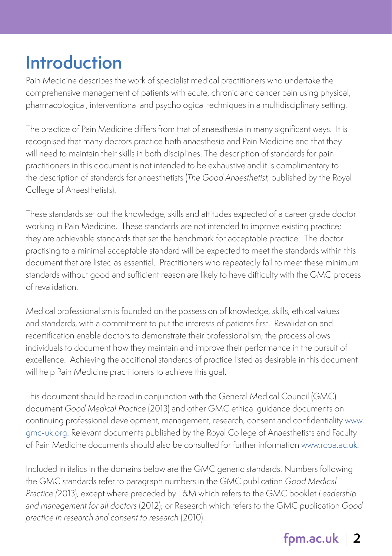# <span id="page-2-0"></span>**Introduction**

Pain Medicine describes the work of specialist medical practitioners who undertake the comprehensive management of patients with acute, chronic and cancer pain using physical, pharmacological, interventional and psychological techniques in a multidisciplinary setting.

The practice of Pain Medicine differs from that of anaesthesia in many significant ways. It is recognised that many doctors practice both anaesthesia and Pain Medicine and that they will need to maintain their skills in both disciplines. The description of standards for pain practitioners in this document is not intended to be exhaustive and it is complimentary to the description of standards for anaesthetists (The Good Anaesthetist, published by the Royal College of Anaesthetists).

These standards set out the knowledge, skills and attitudes expected of a career grade doctor working in Pain Medicine. These standards are not intended to improve existing practice; they are achievable standards that set the benchmark for acceptable practice. The doctor practising to a minimal acceptable standard will be expected to meet the standards within this document that are listed as essential. Practitioners who repeatedly fail to meet these minimum standards without good and sufficient reason are likely to have difficulty with the GMC process of revalidation.

Medical professionalism is founded on the possession of knowledge, skills, ethical values and standards, with a commitment to put the interests of patients first. Revalidation and recertification enable doctors to demonstrate their professionalism; the process allows individuals to document how they maintain and improve their performance in the pursuit of excellence. Achieving the additional standards of practice listed as desirable in this document will help Pain Medicine practitioners to achieve this goal.

This document should be read in conjunction with the General Medical Council (GMC) document Good Medical Practice (2013) and other GMC ethical guidance documents on continuing professional development, management, research, consent and confidentiality [www.](http://www.gmc-uk.org) [gmc-uk.org.](http://www.gmc-uk.org) Relevant documents published by the Royal College of Anaesthetists and Faculty of Pain Medicine documents should also be consulted for further information [www.rcoa.ac.uk.](www.rcoa.ac.uk)

Included in italics in the domains below are the GMC generic standards. Numbers following the GMC standards refer to paragraph numbers in the GMC publication Good Medical Practice (2013), except where preceded by L&M which refers to the GMC booklet Leadership and management for all doctors (2012); or Research which refers to the GMC publication Good practice in research and consent to research (2010).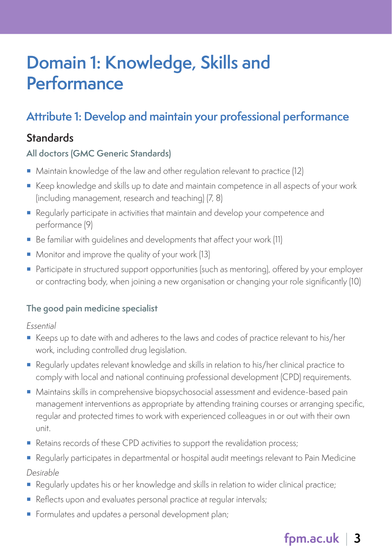# <span id="page-3-0"></span>**Domain 1: Knowledge, Skills and Performance**

# **Attribute 1: Develop and maintain your professional performance**

## **Standards**

#### **All doctors (GMC Generic Standards)**

- Maintain knowledge of the law and other regulation relevant to practice (12)
- Keep knowledge and skills up to date and maintain competence in all aspects of your work (including management, research and teaching) (7, 8)
- Regularly participate in activities that maintain and develop your competence and performance (9)
- Be familiar with quidelines and developments that affect your work (11)
- **Monitor and improve the quality of your work (13)**
- Participate in structured support opportunities (such as mentoring), offered by your employer or contracting body, when joining a new organisation or changing your role significantly (10)

#### **The good pain medicine specialist**

Essential

- Keeps up to date with and adheres to the laws and codes of practice relevant to his/her work, including controlled drug legislation.
- Regularly updates relevant knowledge and skills in relation to his/her clinical practice to comply with local and national continuing professional development (CPD) requirements.
- Maintains skills in comprehensive biopsychosocial assessment and evidence-based pain management interventions as appropriate by attending training courses or arranging specific, regular and protected times to work with experienced colleagues in or out with their own unit.
- Retains records of these CPD activities to support the revalidation process;
- Regularly participates in departmental or hospital audit meetings relevant to Pain Medicine Desirable
- **Requiarly updates his or her knowledge and skills in relation to wider clinical practice;**
- Reflects upon and evaluates personal practice at reqular intervals;
- Formulates and updates a personal development plan;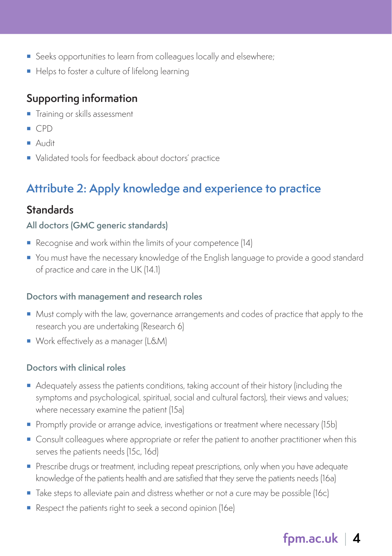- <span id="page-4-0"></span>Seeks opportunities to learn from colleagues locally and elsewhere;
- Helps to foster a culture of lifelong learning

- **Training or skills assessment**
- $\Gamma$  CPD
- Audit
- Validated tools for feedback about doctors' practice

# **Attribute 2: Apply knowledge and experience to practice**

# **Standards**

#### **All doctors (GMC generic standards)**

- Recognise and work within the limits of your competence (14)
- You must have the necessary knowledge of the English language to provide a good standard of practice and care in the UK (14.1)

#### **Doctors with management and research roles**

- **Must comply with the law, governance arrangements and codes of practice that apply to the** research you are undertaking (Research 6)
- Work effectively as a manager (L&M)

#### **Doctors with clinical roles**

- Adequately assess the patients conditions, taking account of their history (including the symptoms and psychological, spiritual, social and cultural factors), their views and values; where necessary examine the patient (15a)
- **Promptly provide or arrange advice, investigations or treatment where necessary (15b)**
- Consult colleagues where appropriate or refer the patient to another practitioner when this serves the patients needs (15c, 16d)
- **Prescribe drugs or treatment, including repeat prescriptions, only when you have adequate** knowledge of the patients health and are satisfied that they serve the patients needs (16a)
- Take steps to alleviate pain and distress whether or not a cure may be possible (16c)
- Respect the patients right to seek a second opinion (16e)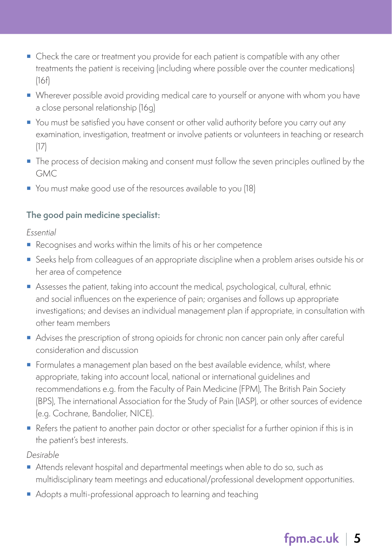- Check the care or treatment you provide for each patient is compatible with any other treatments the patient is receiving (including where possible over the counter medications) (16f)
- Wherever possible avoid providing medical care to yourself or anyone with whom you have a close personal relationship (16g)
- You must be satisfied you have consent or other valid authority before you carry out any examination, investigation, treatment or involve patients or volunteers in teaching or research (17)
- **The process of decision making and consent must follow the seven principles outlined by the** GMC
- You must make good use of the resources available to you (18)

#### **The good pain medicine specialist:**

Essential

- Recognises and works within the limits of his or her competence
- Seeks help from colleagues of an appropriate discipline when a problem arises outside his or her area of competence
- Assesses the patient, taking into account the medical, psychological, cultural, ethnic and social influences on the experience of pain; organises and follows up appropriate investigations; and devises an individual management plan if appropriate, in consultation with other team members
- Advises the prescription of strong opioids for chronic non cancer pain only after careful consideration and discussion
- Formulates a management plan based on the best available evidence, whilst, where appropriate, taking into account local, national or international guidelines and recommendations e.g. from the Faculty of Pain Medicine (FPM), The British Pain Society (BPS), The international Association for the Study of Pain (IASP), or other sources of evidence (e.g. Cochrane, Bandolier, NICE).
- Refers the patient to another pain doctor or other specialist for a further opinion if this is in the patient's best interests.

Desirable

- Attends relevant hospital and departmental meetings when able to do so, such as multidisciplinary team meetings and educational/professional development opportunities.
- Adopts a multi-professional approach to learning and teaching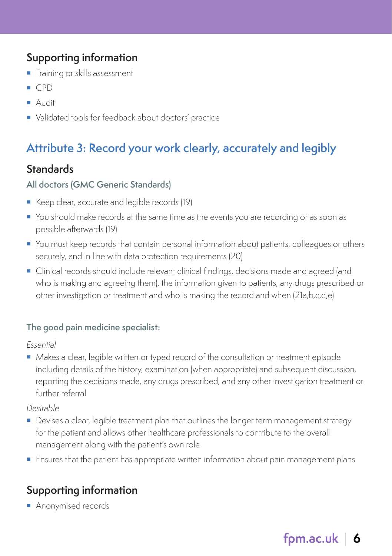- **Training or skills assessment**
- $\Box$  CPD
- Audit
- Validated tools for feedback about doctors' practice

# **Attribute 3: Record your work clearly, accurately and legibly**

#### **Standards**

#### **All doctors (GMC Generic Standards)**

- Keep clear, accurate and legible records (19)
- You should make records at the same time as the events you are recording or as soon as possible afterwards (19)
- You must keep records that contain personal information about patients, colleagues or others securely, and in line with data protection requirements (20)
- Clinical records should include relevant clinical findings, decisions made and agreed (and who is making and agreeing them), the information given to patients, any drugs prescribed or other investigation or treatment and who is making the record and when (21a,b,c,d,e)

#### **The good pain medicine specialist:**

#### Essential

Makes a clear, legible written or typed record of the consultation or treatment episode including details of the history, examination (when appropriate) and subsequent discussion, reporting the decisions made, any drugs prescribed, and any other investigation treatment or further referral

#### Desirable

- **Devises a clear, legible treatment plan that outlines the longer term management strategy** for the patient and allows other healthcare professionals to contribute to the overall management along with the patient's own role
- Ensures that the patient has appropriate written information about pain management plans

## **Supporting information**

**Anonymised records**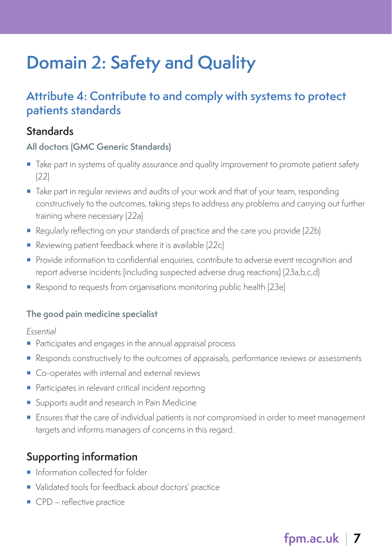# **Domain 2: Safety and Quality**

# **Attribute 4: Contribute to and comply with systems to protect patients standards**

#### **Standards**

#### **All doctors (GMC Generic Standards)**

- Take part in systems of quality assurance and quality improvement to promote patient safety (22)
- **Take part in regular reviews and audits of your work and that of your team, responding** constructively to the outcomes, taking steps to address any problems and carrying out further training where necessary (22a)
- Regularly reflecting on your standards of practice and the care you provide (22b)
- Reviewing patient feedback where it is available (22c)
- **Provide information to confidential enquiries, contribute to adverse event recognition and** report adverse incidents (including suspected adverse drug reactions) (23a,b,c,d)
- Respond to requests from organisations monitoring public health (23e)

#### **The good pain medicine specialist**

Essential

- Participates and engages in the annual appraisal process
- Responds constructively to the outcomes of appraisals, performance reviews or assessments
- Co-operates with internal and external reviews
- **Participates in relevant critical incident reporting**
- **Supports audit and research in Pain Medicine**
- **Ensures that the care of individual patients is not compromised in order to meet management** targets and informs managers of concerns in this regard.

# **Supporting information**

- **Information collected for folder**
- Validated tools for feedback about doctors' practice
- **CPD** reflective practice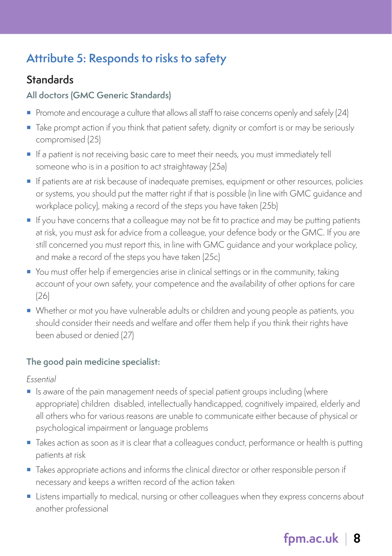# **Attribute 5: Responds to risks to safety**

# **Standards**

#### **All doctors (GMC Generic Standards)**

- Promote and encourage a culture that allows all staff to raise concerns openly and safely (24)
- Take prompt action if you think that patient safety, dignity or comfort is or may be seriously compromised (25)
- If a patient is not receiving basic care to meet their needs, you must immediately tell someone who is in a position to act straightaway (25a)
- **If patients are at risk because of inadequate premises, equipment or other resources, policies** or systems, you should put the matter right if that is possible (in line with GMC guidance and workplace policy), making a record of the steps you have taken (25b)
- If you have concerns that a colleague may not be fit to practice and may be putting patients at risk, you must ask for advice from a colleague, your defence body or the GMC. If you are still concerned you must report this, in line with GMC guidance and your workplace policy, and make a record of the steps you have taken (25c)
- You must offer help if emergencies arise in clinical settings or in the community, taking account of your own safety, your competence and the availability of other options for care (26)
- Whether or mot you have vulnerable adults or children and young people as patients, you should consider their needs and welfare and offer them help if you think their rights have been abused or denied (27)

#### **The good pain medicine specialist:**

Essential

- Is aware of the pain management needs of special patient groups including (where appropriate) children disabled, intellectually handicapped, cognitively impaired, elderly and all others who for various reasons are unable to communicate either because of physical or psychological impairment or language problems
- **Takes action as soon as it is clear that a colleagues conduct, performance or health is putting** patients at risk
- Takes appropriate actions and informs the clinical director or other responsible person if necessary and keeps a written record of the action taken
- **Listens impartially to medical, nursing or other colleagues when they express concerns about** another professional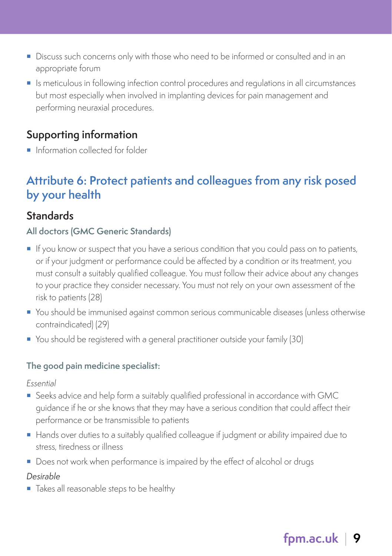- Discuss such concerns only with those who need to be informed or consulted and in an appropriate forum
- Is meticulous in following infection control procedures and regulations in all circumstances but most especially when involved in implanting devices for pain management and performing neuraxial procedures.

**Information collected for folder** 

# **Attribute 6: Protect patients and colleagues from any risk posed by your health**

## **Standards**

#### **All doctors (GMC Generic Standards)**

- If you know or suspect that you have a serious condition that you could pass on to patients, or if your judgment or performance could be affected by a condition or its treatment, you must consult a suitably qualified colleague. You must follow their advice about any changes to your practice they consider necessary. You must not rely on your own assessment of the risk to patients (28)
- You should be immunised against common serious communicable diseases (unless otherwise contraindicated) (29)
- You should be registered with a general practitioner outside your family (30)

#### **The good pain medicine specialist:**

Essential

- Seeks advice and help form a suitably qualified professional in accordance with GMC guidance if he or she knows that they may have a serious condition that could affect their performance or be transmissible to patients
- Hands over duties to a suitably qualified colleague if judgment or ability impaired due to stress, tiredness or illness
- **Does not work when performance is impaired by the effect of alcohol or drugs**

#### *Desirable*

Takes all reasonable steps to be healthy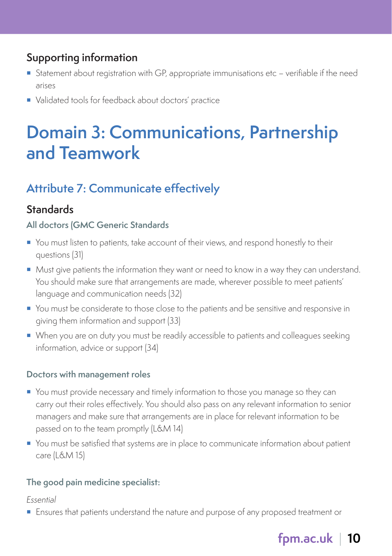- Statement about registration with GP, appropriate immunisations etc verifiable if the need arises
- Validated tools for feedback about doctors' practice

# **Domain 3: Communications, Partnership and Teamwork**

# **Attribute 7: Communicate effectively**

#### **Standards**

#### **All doctors (GMC Generic Standards**

- You must listen to patients, take account of their views, and respond honestly to their questions (31)
- Must give patients the information they want or need to know in a way they can understand. You should make sure that arrangements are made, wherever possible to meet patients' language and communication needs (32)
- You must be considerate to those close to the patients and be sensitive and responsive in giving them information and support (33)
- When you are on duty you must be readily accessible to patients and colleagues seeking information, advice or support (34)

#### **Doctors with management roles**

- You must provide necessary and timely information to those you manage so they can carry out their roles effectively. You should also pass on any relevant information to senior managers and make sure that arrangements are in place for relevant information to be passed on to the team promptly (L&M 14)
- You must be satisfied that systems are in place to communicate information about patient care (L&M 15)

#### **The good pain medicine specialist:**

Essential

Ensures that patients understand the nature and purpose of any proposed treatment or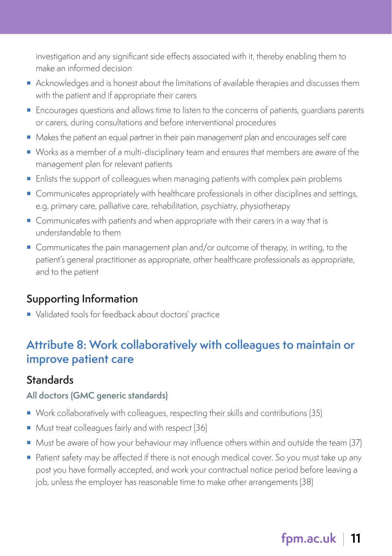investigation and any significant side effects associated with it, thereby enabling them to make an informed decision

- Acknowledges and is honest about the limitations of available therapies and discusses them with the patient and if appropriate their carers
- **Encourages questions and allows time to listen to the concerns of patients, quardians parents** or carers, during consultations and before interventional procedures
- Makes the patient an equal partner in their pain management plan and encourages self care
- Works as a member of a multi-disciplinary team and ensures that members are aware of the management plan for relevant patients
- **Enlists the support of colleagues when managing patients with complex pain problems**
- **Communicates appropriately with healthcare professionals in other disciplines and settings,** e.g. primary care, palliative care, rehabilitation, psychiatry, physiotherapy
- Communicates with patients and when appropriate with their carers in a way that is understandable to them
- Communicates the pain management plan and/or outcome of therapy, in writing, to the patient's general practitioner as appropriate, other healthcare professionals as appropriate, and to the patient

#### **Supporting Information**

Validated tools for feedback about doctors' practice

# **Attribute 8: Work collaboratively with colleagues to maintain or improve patient care**

#### **Standards**

#### **All doctors (GMC generic standards)**

- Work collaboratively with colleagues, respecting their skills and contributions (35)
- Must treat colleagues fairly and with respect (36)
- Must be aware of how your behaviour may influence others within and outside the team (37)
- Patient safety may be affected if there is not enough medical cover. So you must take up any post you have formally accepted, and work your contractual notice period before leaving a job, unless the employer has reasonable time to make other arrangements (38)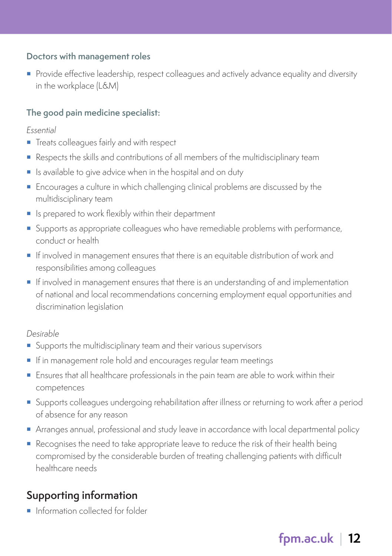#### **Doctors with management roles**

**Provide effective leadership, respect colleagues and actively advance equality and diversity** in the workplace (L&M)

#### **The good pain medicine specialist:**

#### Essential

- **Treats colleagues fairly and with respect**
- Respects the skills and contributions of all members of the multidisciplinary team
- Is available to give advice when in the hospital and on duty
- **Encourages a culture in which challenging clinical problems are discussed by the** multidisciplinary team
- **I** Is prepared to work flexibly within their department
- **Supports as appropriate colleagues who have remediable problems with performance,** conduct or health
- If involved in management ensures that there is an equitable distribution of work and responsibilities among colleagues
- If involved in management ensures that there is an understanding of and implementation of national and local recommendations concerning employment equal opportunities and discrimination legislation

#### Desirable

- Supports the multidisciplinary team and their various supervisors
- If in management role hold and encourages regular team meetings
- Ensures that all healthcare professionals in the pain team are able to work within their competences
- **Supports colleagues undergoing rehabilitation after illness or returning to work after a period** of absence for any reason
- Arranges annual, professional and study leave in accordance with local departmental policy
- Recognises the need to take appropriate leave to reduce the risk of their health being compromised by the considerable burden of treating challenging patients with difficult healthcare needs

## **Supporting information**

**Information collected for folder**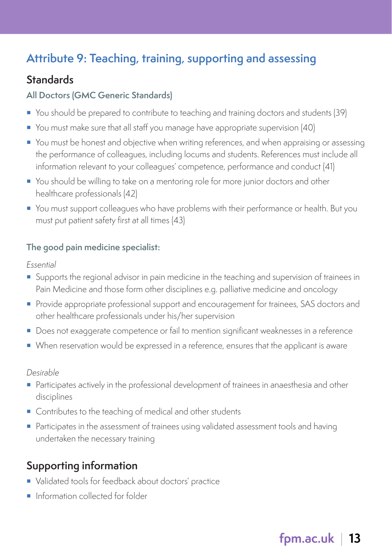# **Attribute 9: Teaching, training, supporting and assessing**

## **Standards**

#### **All Doctors (GMC Generic Standards)**

- You should be prepared to contribute to teaching and training doctors and students (39)
- You must make sure that all staff you manage have appropriate supervision (40)
- You must be honest and objective when writing references, and when appraising or assessing the performance of colleagues, including locums and students. References must include all information relevant to your colleagues' competence, performance and conduct (41)
- You should be willing to take on a mentoring role for more junior doctors and other healthcare professionals (42)
- You must support colleagues who have problems with their performance or health. But you must put patient safety first at all times (43)

#### **The good pain medicine specialist:**

Essential

- Supports the regional advisor in pain medicine in the teaching and supervision of trainees in Pain Medicine and those form other disciplines e.g. palliative medicine and oncology
- **Provide appropriate professional support and encouragement for trainees, SAS doctors and** other healthcare professionals under his/her supervision
- **Does not exaggerate competence or fail to mention significant weaknesses in a reference**
- When reservation would be expressed in a reference, ensures that the applicant is aware

Desirable

- Participates actively in the professional development of trainees in anaesthesia and other disciplines
- Contributes to the teaching of medical and other students
- Participates in the assessment of trainees using validated assessment tools and having undertaken the necessary training

# **Supporting information**

- Validated tools for feedback about doctors' practice
- **Information collected for folder**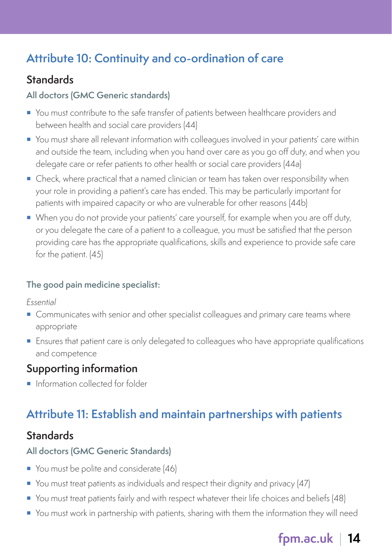# **Attribute 10: Continuity and co-ordination of care**

# **Standards**

#### **All doctors (GMC Generic standards)**

- You must contribute to the safe transfer of patients between healthcare providers and between health and social care providers (44)
- You must share all relevant information with colleagues involved in your patients' care within and outside the team, including when you hand over care as you go off duty, and when you delegate care or refer patients to other health or social care providers (44a)
- Check, where practical that a named clinician or team has taken over responsibility when your role in providing a patient's care has ended. This may be particularly important for patients with impaired capacity or who are vulnerable for other reasons (44b)
- When you do not provide your patients' care yourself, for example when you are off duty, or you delegate the care of a patient to a colleague, you must be satisfied that the person providing care has the appropriate qualifications, skills and experience to provide safe care for the patient. (45)

#### **The good pain medicine specialist:**

Essential

- **Communicates with senior and other specialist colleagues and primary care teams where** appropriate
- **Ensures that patient care is only delegated to colleagues who have appropriate qualifications** and competence

# **Supporting information**

**Information collected for folder** 

# **Attribute 11: Establish and maintain partnerships with patients**

## **Standards**

#### **All doctors (GMC Generic Standards)**

- You must be polite and considerate (46)
- You must treat patients as individuals and respect their dignity and privacy (47)
- You must treat patients fairly and with respect whatever their life choices and beliefs (48)
- You must work in partnership with patients, sharing with them the information they will need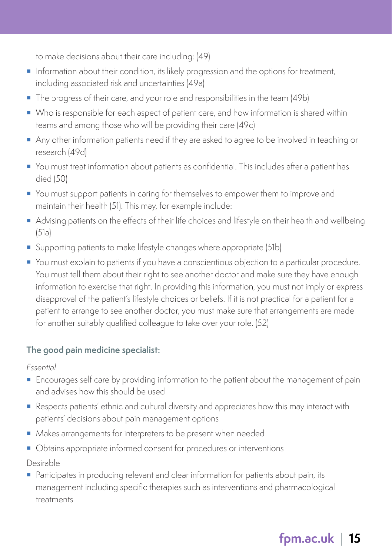to make decisions about their care including: (49)

- **Information about their condition, its likely progression and the options for treatment,** including associated risk and uncertainties (49a)
- The progress of their care, and your role and responsibilities in the team (49b)
- Who is responsible for each aspect of patient care, and how information is shared within teams and among those who will be providing their care (49c)
- Any other information patients need if they are asked to agree to be involved in teaching or research (49d)
- You must treat information about patients as confidential. This includes after a patient has died (50)
- You must support patients in caring for themselves to empower them to improve and maintain their health (51). This may, for example include:
- Advising patients on the effects of their life choices and lifestyle on their health and wellbeing (51a)
- Supporting patients to make lifestyle changes where appropriate (51b)
- You must explain to patients if you have a conscientious objection to a particular procedure. You must tell them about their right to see another doctor and make sure they have enough information to exercise that right. In providing this information, you must not imply or express disapproval of the patient's lifestyle choices or beliefs. If it is not practical for a patient for a patient to arrange to see another doctor, you must make sure that arrangements are made for another suitably qualified colleague to take over your role. (52)

#### **The good pain medicine specialist:**

Essential

- Encourages self care by providing information to the patient about the management of pain and advises how this should be used
- Respects patients' ethnic and cultural diversity and appreciates how this may interact with patients' decisions about pain management options
- Makes arrangements for interpreters to be present when needed
- $\blacksquare$  Obtains appropriate informed consent for procedures or interventions

Desirable

**Participates in producing relevant and clear information for patients about pain, its** management including specific therapies such as interventions and pharmacological treatments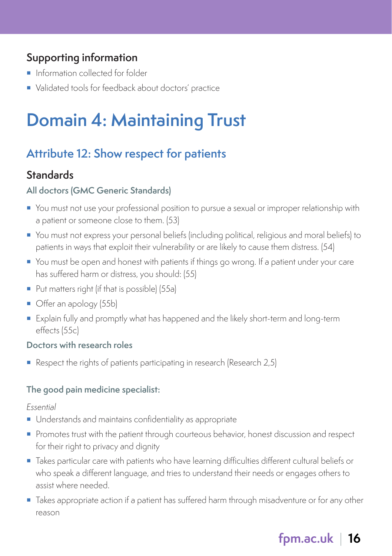- **Information collected for folder**
- Validated tools for feedback about doctors' practice

# **Domain 4: Maintaining Trust**

# **Attribute 12: Show respect for patients**

#### **Standards**

#### **All doctors (GMC Generic Standards)**

- You must not use your professional position to pursue a sexual or improper relationship with a patient or someone close to them. (53)
- You must not express your personal beliefs (including political, religious and moral beliefs) to patients in ways that exploit their vulnerability or are likely to cause them distress. (54)
- You must be open and honest with patients if things go wrong. If a patient under your care has suffered harm or distress, you should: (55)
- Put matters right (if that is possible) (55a)
- Offer an apology (55b)
- Explain fully and promptly what has happened and the likely short-term and long-term effects (55c)

#### **Doctors with research roles**

Respect the rights of patients participating in research (Research 2,5)

#### **The good pain medicine specialist:**

#### Essential

- Understands and maintains confidentiality as appropriate
- **Promotes trust with the patient through courteous behavior, honest discussion and respect** for their right to privacy and dignity
- Takes particular care with patients who have learning difficulties different cultural beliefs or who speak a different language, and tries to understand their needs or engages others to assist where needed.
- Takes appropriate action if a patient has suffered harm through misadventure or for any other reason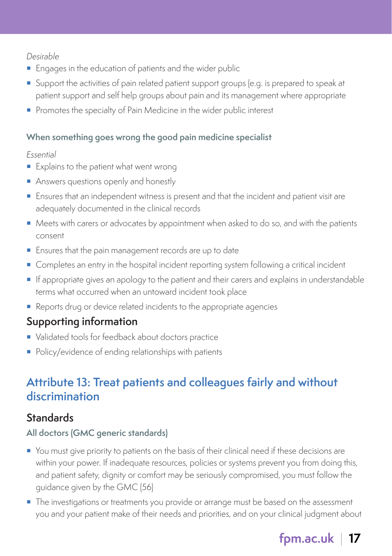Desirable

- **Engages in the education of patients and the wider public**
- Support the activities of pain related patient support groups (e.g. is prepared to speak at patient support and self help groups about pain and its management where appropriate
- Promotes the specialty of Pain Medicine in the wider public interest

#### **When something goes wrong the good pain medicine specialist**

#### Essential

- **Explains to the patient what went wrong**
- Answers questions openly and honestly
- **Ensures that an independent witness is present and that the incident and patient visit are** adequately documented in the clinical records
- $\blacksquare$  Meets with carers or advocates by appointment when asked to do so, and with the patients consent
- **Ensures that the pain management records are up to date**
- **Completes an entry in the hospital incident reporting system following a critical incident**
- If appropriate gives an apology to the patient and their carers and explains in understandable terms what occurred when an untoward incident took place
- Reports drug or device related incidents to the appropriate agencies

# **Supporting information**

- Validated tools for feedback about doctors practice
- Policy/evidence of ending relationships with patients

# **Attribute 13: Treat patients and colleagues fairly and without discrimination**

# **Standards**

#### **All doctors (GMC generic standards)**

- You must give priority to patients on the basis of their clinical need if these decisions are within your power. If inadequate resources, policies or systems prevent you from doing this, and patient safety, dignity or comfort may be seriously compromised, you must follow the guidance given by the GMC (56)
- **The investigations or treatments you provide or arrange must be based on the assessment** you and your patient make of their needs and priorities, and on your clinical judgment about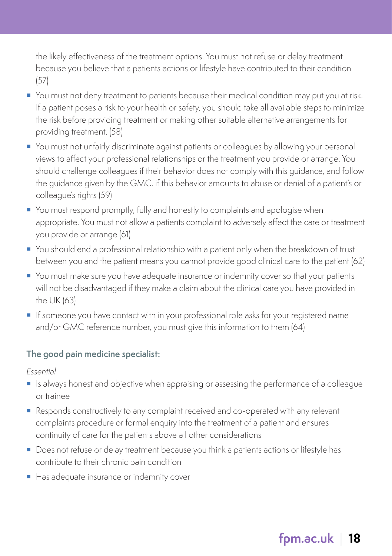the likely effectiveness of the treatment options. You must not refuse or delay treatment because you believe that a patients actions or lifestyle have contributed to their condition (57)

- You must not deny treatment to patients because their medical condition may put you at risk. If a patient poses a risk to your health or safety, you should take all available steps to minimize the risk before providing treatment or making other suitable alternative arrangements for providing treatment. (58)
- You must not unfairly discriminate against patients or colleagues by allowing your personal views to affect your professional relationships or the treatment you provide or arrange. You should challenge colleagues if their behavior does not comply with this guidance, and follow the guidance given by the GMC. if this behavior amounts to abuse or denial of a patient's or colleague's rights (59)
- You must respond promptly, fully and honestly to complaints and apologise when appropriate. You must not allow a patients complaint to adversely affect the care or treatment you provide or arrange (61)
- You should end a professional relationship with a patient only when the breakdown of trust between you and the patient means you cannot provide good clinical care to the patient (62)
- You must make sure you have adequate insurance or indemnity cover so that your patients will not be disadvantaged if they make a claim about the clinical care you have provided in the UK (63)
- If someone you have contact with in your professional role asks for your registered name and/or GMC reference number, you must give this information to them (64)

#### **The good pain medicine specialist:**

Essential

- Is always honest and objective when appraising or assessing the performance of a colleague or trainee
- Responds constructively to any complaint received and co-operated with any relevant complaints procedure or formal enquiry into the treatment of a patient and ensures continuity of care for the patients above all other considerations
- Does not refuse or delay treatment because you think a patients actions or lifestyle has contribute to their chronic pain condition
- Has adequate insurance or indemnity cover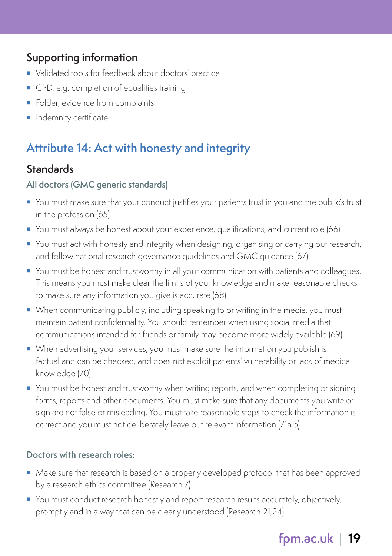- Validated tools for feedback about doctors' practice
- CPD, e.g. completion of equalities training
- Folder, evidence from complaints
- **Indemnity certificate**

# **Attribute 14: Act with honesty and integrity**

### **Standards**

#### **All doctors (GMC generic standards)**

- You must make sure that your conduct justifies your patients trust in you and the public's trust in the profession (65)
- You must always be honest about your experience, qualifications, and current role (66)
- You must act with honesty and integrity when designing, organising or carrying out research, and follow national research governance guidelines and GMC guidance (67)
- **•** You must be honest and trustworthy in all your communication with patients and colleagues. This means you must make clear the limits of your knowledge and make reasonable checks to make sure any information you give is accurate (68)
- When communicating publicly, including speaking to or writing in the media, you must maintain patient confidentiality. You should remember when using social media that communications intended for friends or family may become more widely available (69)
- When advertising your services, you must make sure the information you publish is factual and can be checked, and does not exploit patients' vulnerability or lack of medical knowledge (70)
- You must be honest and trustworthy when writing reports, and when completing or signing forms, reports and other documents. You must make sure that any documents you write or sign are not false or misleading. You must take reasonable steps to check the information is correct and you must not deliberately leave out relevant information (71a,b)

#### **Doctors with research roles:**

- Make sure that research is based on a properly developed protocol that has been approved by a research ethics committee (Research 7)
- You must conduct research honestly and report research results accurately, objectively, promptly and in a way that can be clearly understood (Research 21,24)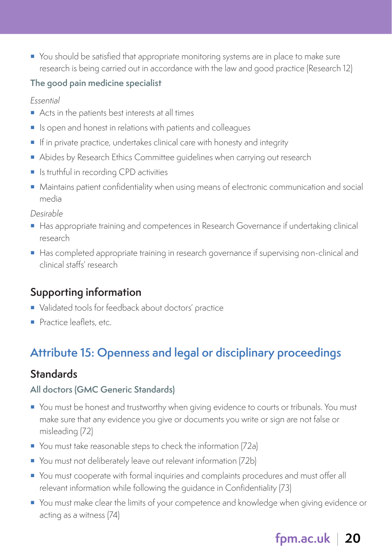You should be satisfied that appropriate monitoring systems are in place to make sure research is being carried out in accordance with the law and good practice (Research 12)

#### **The good pain medicine specialist**

Essential

- Acts in the patients best interests at all times
- Is open and honest in relations with patients and colleagues
- If in private practice, undertakes clinical care with honesty and integrity
- Abides by Research Ethics Committee quidelines when carrying out research
- **In Ite is truthful in recording CPD activities**
- Maintains patient confidentiality when using means of electronic communication and social media

Desirable

- Has appropriate training and competences in Research Governance if undertaking clinical research
- Has completed appropriate training in research governance if supervising non-clinical and clinical staffs' research

#### **Supporting information**

- Validated tools for feedback about doctors' practice
- Practice leaflets, etc.

# **Attribute 15: Openness and legal or disciplinary proceedings**

#### **Standards**

#### **All doctors (GMC Generic Standards)**

- You must be honest and trustworthy when giving evidence to courts or tribunals. You must make sure that any evidence you give or documents you write or sign are not false or misleading (72)
- You must take reasonable steps to check the information (72a)
- You must not deliberately leave out relevant information (72b)
- You must cooperate with formal inquiries and complaints procedures and must offer all relevant information while following the guidance in Confidentiality (73)
- You must make clear the limits of your competence and knowledge when giving evidence or acting as a witness (74)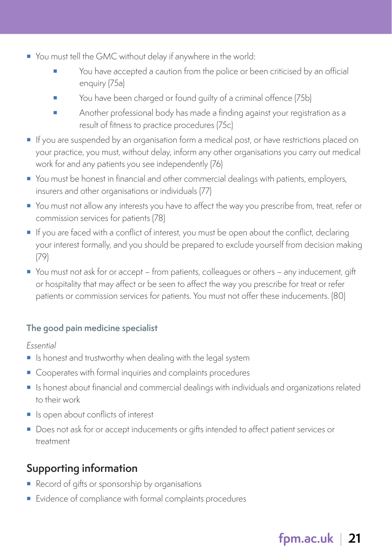- You must tell the GMC without delay if anywhere in the world:
	- You have accepted a caution from the police or been criticised by an official enquiry (75a)
	- You have been charged or found guilty of a criminal offence (75b)
	- Another professional body has made a finding against your registration as a result of fitness to practice procedures (75c)
- **If** you are suspended by an organisation form a medical post, or have restrictions placed on your practice, you must, without delay, inform any other organisations you carry out medical work for and any patients you see independently (76)
- You must be honest in financial and other commercial dealings with patients, employers, insurers and other organisations or individuals (77)
- You must not allow any interests you have to affect the way you prescribe from, treat, refer or commission services for patients (78)
- If you are faced with a conflict of interest, you must be open about the conflict, declaring your interest formally, and you should be prepared to exclude yourself from decision making (79)
- You must not ask for or accept from patients, colleagues or others any inducement, gift or hospitality that may affect or be seen to affect the way you prescribe for treat or refer patients or commission services for patients. You must not offer these inducements. (80)

#### **The good pain medicine specialist**

#### Essential

- **Is honest and trustworthy when dealing with the legal system**
- Cooperates with formal inquiries and complaints procedures
- Is honest about financial and commercial dealings with individuals and organizations related to their work
- I Is open about conflicts of interest
- Does not ask for or accept inducements or gifts intended to affect patient services or treatment

# **Supporting information**

- Record of gifts or sponsorship by organisations
- Evidence of compliance with formal complaints procedures